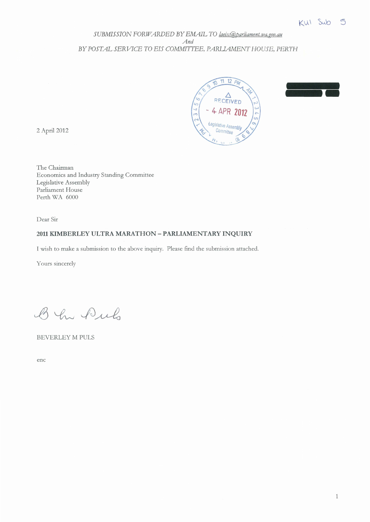## SUBMISSION FORWARDED BY EMAIL TO laeisc@parliament.wa.gov.au *And BY POSTAL SERVICE TO EIS COMMITTEE, PARLIAMENT HOUSE, PERTH*





2 April 2012

The Chairman Economics and Industry Standing Committee Legislative Assembly Parliament House Perth WA 6000

Dear Sir

## **2011 KIMBERLEY ULTRA MARATHON- PARLIAMENTARY INQUIRY**

I wish to make a submission to the above inquiry. Please ftnd the submission attached.

Yours sincerely

B In Puls

BEVERLEY M PULS

enc